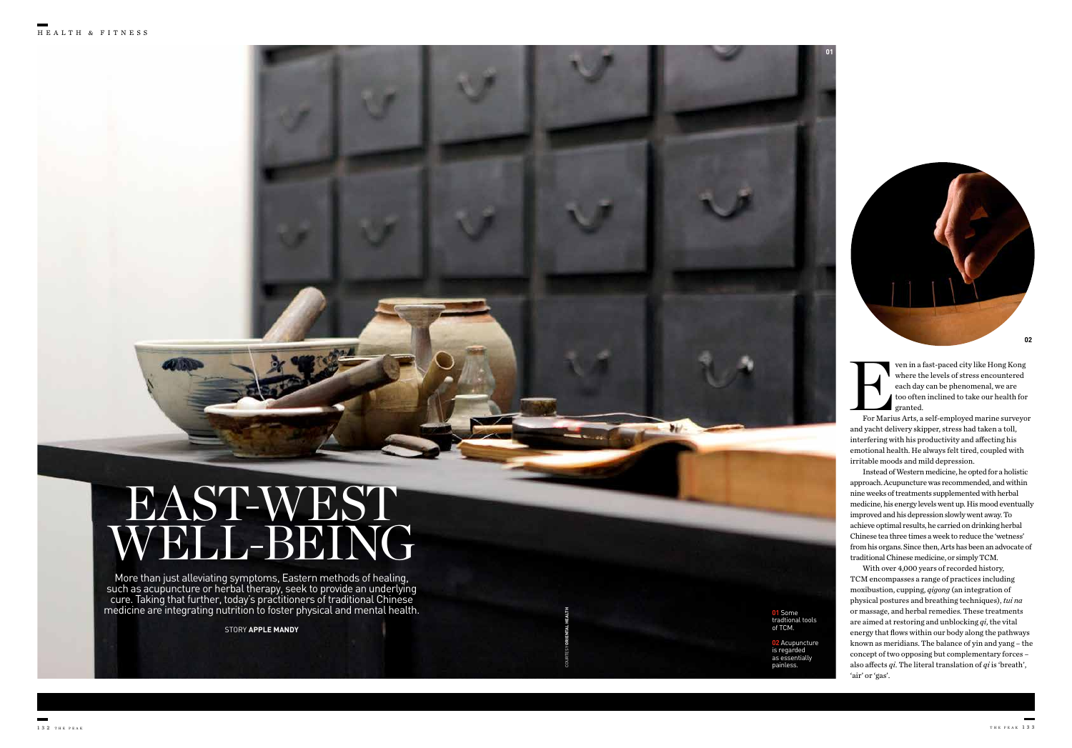STORY **APPLE MANDY** 

# EAST-WEST WELL-BEING

More than just alleviating symptoms, Eastern methods of healing, such as acupuncture or herbal therapy, seek to provide an underlying cure. Taking that further, today's practitioners of traditional Chinese medicine are integrating nutrition to foster physical and mental health. Ven in a fast-paced city like Hong Kong<br>
where the levels of stress encountered<br>
each day can be phenomenal, we are<br>
too often inclined to take our health for<br>
For Marius Arts, a self-employed marine surveyor where the levels of stress encountered each day can be phenomenal, we are too often inclined to take our health for granted.

COURTESY **ORIENTAL HEALTH**



**01** Some tradtional tools of TCM.

 $\bullet$ 

**02** Acupuncture is regarded as essentially painless.

and yacht delivery skipper, stress had taken a toll, interfering with his productivity and affecting his emotional health. He always felt tired, coupled with irritable moods and mild depression.

Instead of Western medicine, he opted for a holistic approach. Acupuncture was recommended, and within nine weeks of treatments supplemented with herbal medicine, his energy levels went up. His mood eventually improved and his depression slowly went away. To achieve optimal results, he carried on drinking herbal Chinese tea three times a week to reduce the 'wetness' from his organs. Since then, Arts has been an advocate of traditional Chinese medicine, or simply TCM.

With over 4,000 years of recorded history, TCM encompasses a range of practices including moxibustion, cupping, *qigong* (an integration of physical postures and breathing techniques), *tui na* or massage, and herbal remedies. These treatments are aimed at restoring and unblocking *qi*, the vital energy that flows within our body along the pathways known as meridians. The balance of yin and yang – the concept of two opposing but complementary forces – also affects *qi*. The literal translation of *qi* is 'breath', 'air' or 'gas'.

**01**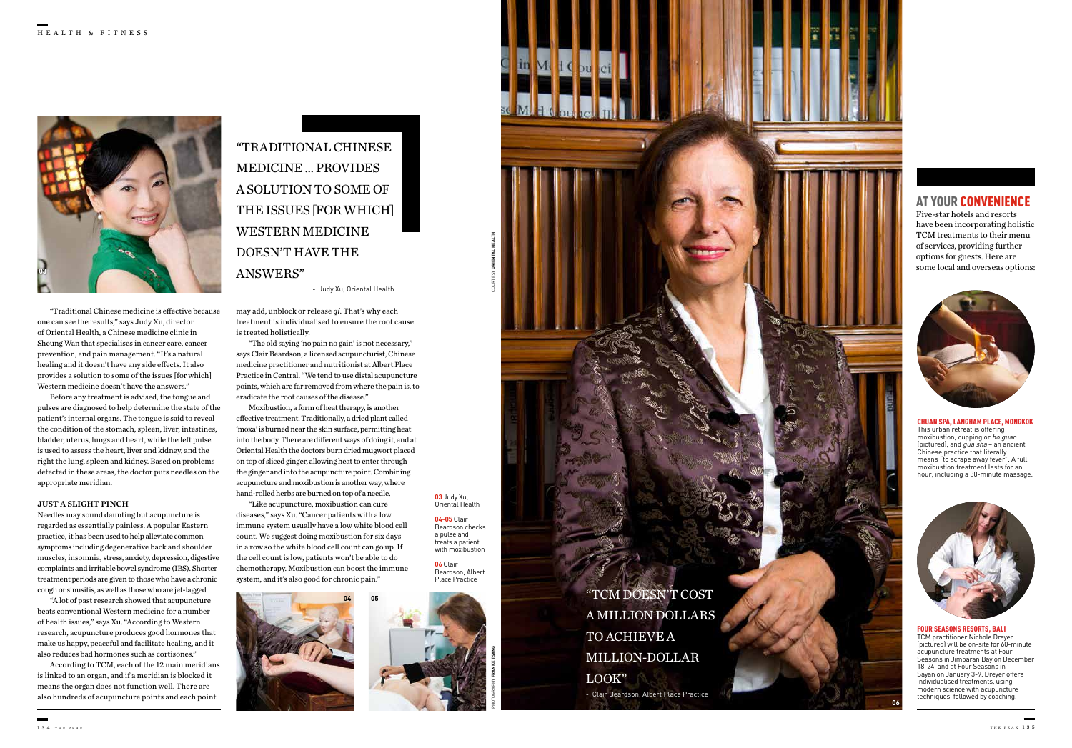"TRADITIONAL CHINESE MEDICINE … PROVIDES A SOLUTION TO SOME OF THE ISSUES [FOR WHICH] WESTERN MEDICINE DOESN'T HAVE THE ANSWERS"



- Judy Xu, Oriental Health

COURTESY **ORIENTAL HEALTH**

may add, unblock or release *qi*. That's why each treatment is individualised to ensure the root cause is treated holistically.

"The old saying 'no pain no gain' is not necessary," says Clair Beardson, a licensed acupuncturist, Chinese medicine practitioner and nutritionist at Albert Place Practice in Central. "We tend to use distal acupuncture points, which are far removed from where the pain is, to eradicate the root causes of the disease."

Moxibustion, a form of heat therapy, is another effective treatment. Traditionally, a dried plant called 'moxa' is burned near the skin surface, permitting heat into the body. There are different ways of doing it, and at Oriental Health the doctors burn dried mugwort placed on top of sliced ginger, allowing heat to enter through the ginger and into the acupuncture point. Combining acupuncture and moxibustion is another way, where hand-rolled herbs are burned on top of a needle.

"Like acupuncture, moxibustion can cure diseases," says Xu. "Cancer patients with a low immune system usually have a low white blood cell count. We suggest doing moxibustion for six days in a row so the white blood cell count can go up. If the cell count is low, patients won't be able to do chemotherapy. Moxibustion can boost the immune system, and it's also good for chronic pain."



**03** Judy Xu, Oriental Health **04-05** Clair

Beardson checks a pulse and treats a patient with moxibustion

**06** Clair Beardson, Albert Place Practice

> "TCM DOESN'T COST A MILLION DOLLARS TO ACHIEVE A MILLION-DOLLAR LOOK" - Clair Beardson, Albert Place Practice

# AT YOUR CONVENIENCE

Five-star hotels and resorts have been incorporating holistic TCM treatments to their menu of services, providing further options for guests. Here are some local and overseas options:



#### CHUAN SPA, LANGHAM PLACE, MONGKOK

This urban retreat is offering moxibustion, cupping or ho guan (pictured), and  $\ddot{g}u\dot{a}$  sha – an ancient Chinese practice that literally means "to scrape away fever". A full moxibustion treatment lasts for an hour, including a 30-minute massage.



#### FOUR SEASONS RESORTS, BALI

TCM practitioner Nichole Dreyer (pictured) will be on-site for 60-minute acupuncture treatments at Four Seasons in Jimbaran Bay on December 18-24, and at Four Seasons in Sayan on January 3-9. Dreyer offers individualised treatments, using modern science with acupuncture techniques, followed by coaching.

"Traditional Chinese medicine is effective because one can see the results," says Judy Xu, director of Oriental Health, a Chinese medicine clinic in Sheung Wan that specialises in cancer care, cancer prevention, and pain management. "It's a natural healing and it doesn't have any side effects. It also provides a solution to some of the issues [for which] Western medicine doesn't have the answers."

Before any treatment is advised, the tongue and pulses are diagnosed to help determine the state of the patient's internal organs. The tongue is said to reveal the condition of the stomach, spleen, liver, intestines, bladder, uterus, lungs and heart, while the left pulse is used to assess the heart, liver and kidney, and the right the lung, spleen and kidney. Based on problems detected in these areas, the doctor puts needles on the appropriate meridian.

#### JUST A SLIGHT PINCH

Needles may sound daunting but acupuncture is regarded as essentially painless. A popular Eastern practice, it has been used to help alleviate common symptoms including degenerative back and shoulder muscles, insomnia, stress, anxiety, depression, digestive complaints and irritable bowel syndrome (IBS). Shorter treatment periods are given to those who have a chronic cough or sinusitis, as well as those who are jet-lagged.

"A lot of past research showed that acupuncture beats conventional Western medicine for a number of health issues," says Xu. "According to Western research, acupuncture produces good hormones that make us happy, peaceful and facilitate healing, and it also reduces bad hormones such as cortisones."

According to TCM, each of the 12 main meridians is linked to an organ, and if a meridian is blocked it means the organ does not function well. There are also hundreds of acupuncture points and each point